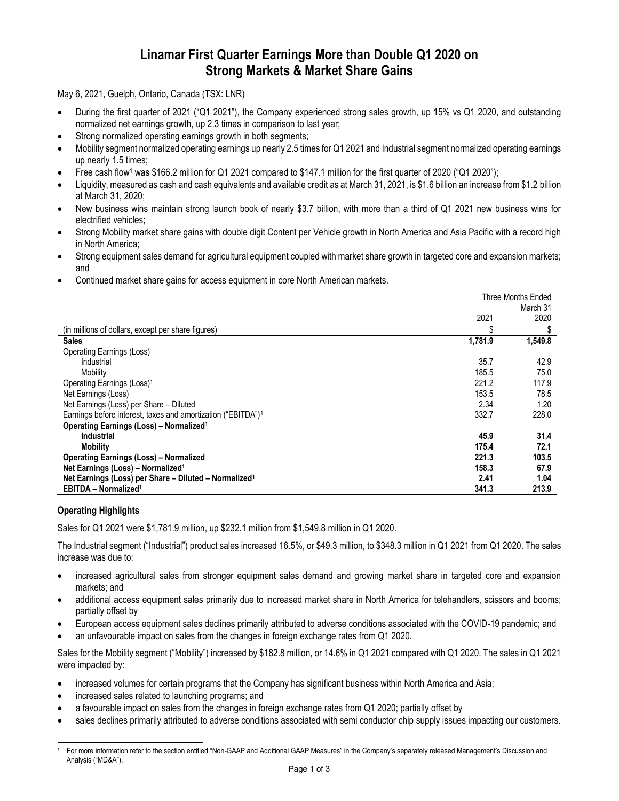# **Linamar First Quarter Earnings More than Double Q1 2020 on Strong Markets & Market Share Gains**

May 6, 2021, Guelph, Ontario, Canada (TSX: LNR)

- During the first quarter of 2021 ("Q1 2021"), the Company experienced strong sales growth, up 15% vs Q1 2020, and outstanding normalized net earnings growth, up 2.3 times in comparison to last year;
- Strong normalized operating earnings growth in both segments;
- Mobility segment normalized operating earnings up nearly 2.5 times for Q1 2021 and Industrial segment normalized operating earnings up nearly 1.5 times;
- Free cash flow<sup>1</sup> was \$166.2 million for Q1 2021 compared to \$147.1 million for the first quarter of 2020 ("Q1 2020");
- Liquidity, measured as cash and cash equivalents and available credit as at March 31, 2021, is \$1.6 billion an increase from \$1.2 billion at March 31, 2020;
- New business wins maintain strong launch book of nearly \$3.7 billion, with more than a third of Q1 2021 new business wins for electrified vehicles;
- Strong Mobility market share gains with double digit Content per Vehicle growth in North America and Asia Pacific with a record high in North America;
- Strong equipment sales demand for agricultural equipment coupled with market share growth in targeted core and expansion markets; and
- Continued market share gains for access equipment in core North American markets.

|                                                                          | <b>Three Months Ended</b> |          |
|--------------------------------------------------------------------------|---------------------------|----------|
|                                                                          |                           | March 31 |
|                                                                          | 2021                      | 2020     |
| (in millions of dollars, except per share figures)                       | \$                        | S        |
| <b>Sales</b>                                                             | 1,781.9                   | 1,549.8  |
| <b>Operating Earnings (Loss)</b>                                         |                           |          |
| Industrial                                                               | 35.7                      | 42.9     |
| Mobility                                                                 | 185.5                     | 75.0     |
| Operating Earnings (Loss) <sup>1</sup>                                   | 221.2                     | 117.9    |
| Net Earnings (Loss)                                                      | 153.5                     | 78.5     |
| Net Earnings (Loss) per Share - Diluted                                  | 2.34                      | 1.20     |
| Earnings before interest, taxes and amortization ("EBITDA") <sup>1</sup> | 332.7                     | 228.0    |
| <b>Operating Earnings (Loss) - Normalized<sup>1</sup></b>                |                           |          |
| Industrial                                                               | 45.9                      | 31.4     |
| <b>Mobility</b>                                                          | 175.4                     | 72.1     |
| <b>Operating Earnings (Loss) - Normalized</b>                            | 221.3                     | 103.5    |
| Net Earnings (Loss) - Normalized <sup>1</sup>                            | 158.3                     | 67.9     |
| Net Earnings (Loss) per Share - Diluted - Normalized <sup>1</sup>        | 2.41                      | 1.04     |
| <b>EBITDA - Normalized<sup>1</sup></b>                                   | 341.3                     | 213.9    |

# **Operating Highlights**

Sales for Q1 2021 were \$1,781.9 million, up \$232.1 million from \$1,549.8 million in Q1 2020.

The Industrial segment ("Industrial") product sales increased 16.5%, or \$49.3 million, to \$348.3 million in Q1 2021 from Q1 2020. The sales increase was due to:

- increased agricultural sales from stronger equipment sales demand and growing market share in targeted core and expansion markets; and
- additional access equipment sales primarily due to increased market share in North America for telehandlers, scissors and booms; partially offset by
- European access equipment sales declines primarily attributed to adverse conditions associated with the COVID-19 pandemic; and
- an unfavourable impact on sales from the changes in foreign exchange rates from Q1 2020.

Sales for the Mobility segment ("Mobility") increased by \$182.8 million, or 14.6% in Q1 2021 compared with Q1 2020. The sales in Q1 2021 were impacted by:

- increased volumes for certain programs that the Company has significant business within North America and Asia;
- increased sales related to launching programs; and
- a favourable impact on sales from the changes in foreign exchange rates from Q1 2020; partially offset by
- sales declines primarily attributed to adverse conditions associated with semi conductor chip supply issues impacting our customers.

<sup>1</sup> For more information refer to the section entitled "Non-GAAP and Additional GAAP Measures" in the Company's separately released Management's Discussion and Analysis ("MD&A").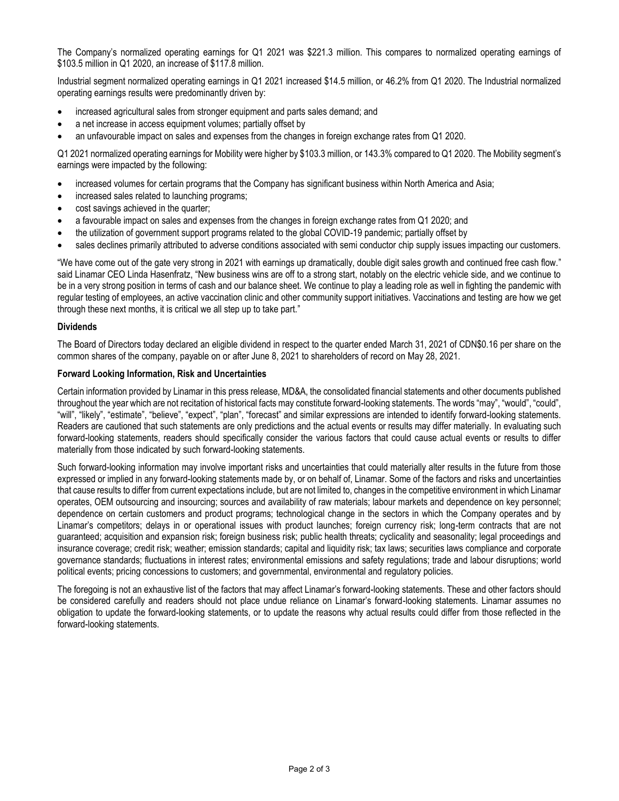The Company's normalized operating earnings for Q1 2021 was \$221.3 million. This compares to normalized operating earnings of \$103.5 million in Q1 2020, an increase of \$117.8 million.

Industrial segment normalized operating earnings in Q1 2021 increased \$14.5 million, or 46.2% from Q1 2020. The Industrial normalized operating earnings results were predominantly driven by:

- increased agricultural sales from stronger equipment and parts sales demand; and
- a net increase in access equipment volumes; partially offset by
- an unfavourable impact on sales and expenses from the changes in foreign exchange rates from Q1 2020.

Q1 2021 normalized operating earnings for Mobility were higher by \$103.3 million, or 143.3% compared to Q1 2020. The Mobility segment's earnings were impacted by the following:

- increased volumes for certain programs that the Company has significant business within North America and Asia;
- increased sales related to launching programs;
- cost savings achieved in the quarter;
- a favourable impact on sales and expenses from the changes in foreign exchange rates from Q1 2020; and
- the utilization of government support programs related to the global COVID-19 pandemic; partially offset by
- sales declines primarily attributed to adverse conditions associated with semi conductor chip supply issues impacting our customers.

"We have come out of the gate very strong in 2021 with earnings up dramatically, double digit sales growth and continued free cash flow." said Linamar CEO Linda Hasenfratz, "New business wins are off to a strong start, notably on the electric vehicle side, and we continue to be in a very strong position in terms of cash and our balance sheet. We continue to play a leading role as well in fighting the pandemic with regular testing of employees, an active vaccination clinic and other community support initiatives. Vaccinations and testing are how we get through these next months, it is critical we all step up to take part."

#### **Dividends**

The Board of Directors today declared an eligible dividend in respect to the quarter ended March 31, 2021 of CDN\$0.16 per share on the common shares of the company, payable on or after June 8, 2021 to shareholders of record on May 28, 2021.

#### **Forward Looking Information, Risk and Uncertainties**

Certain information provided by Linamar in this press release, MD&A, the consolidated financial statements and other documents published throughout the year which are not recitation of historical facts may constitute forward-looking statements. The words "may", "would", "could", "will", "likely", "estimate", "believe", "expect", "plan", "forecast" and similar expressions are intended to identify forward-looking statements. Readers are cautioned that such statements are only predictions and the actual events or results may differ materially. In evaluating such forward-looking statements, readers should specifically consider the various factors that could cause actual events or results to differ materially from those indicated by such forward-looking statements.

Such forward-looking information may involve important risks and uncertainties that could materially alter results in the future from those expressed or implied in any forward-looking statements made by, or on behalf of, Linamar. Some of the factors and risks and uncertainties that cause results to differ from current expectations include, but are not limited to, changes in the competitive environment in which Linamar operates, OEM outsourcing and insourcing; sources and availability of raw materials; labour markets and dependence on key personnel; dependence on certain customers and product programs; technological change in the sectors in which the Company operates and by Linamar's competitors; delays in or operational issues with product launches; foreign currency risk; long-term contracts that are not guaranteed; acquisition and expansion risk; foreign business risk; public health threats; cyclicality and seasonality; legal proceedings and insurance coverage; credit risk; weather; emission standards; capital and liquidity risk; tax laws; securities laws compliance and corporate governance standards; fluctuations in interest rates; environmental emissions and safety regulations; trade and labour disruptions; world political events; pricing concessions to customers; and governmental, environmental and regulatory policies.

The foregoing is not an exhaustive list of the factors that may affect Linamar's forward-looking statements. These and other factors should be considered carefully and readers should not place undue reliance on Linamar's forward-looking statements. Linamar assumes no obligation to update the forward-looking statements, or to update the reasons why actual results could differ from those reflected in the forward-looking statements.